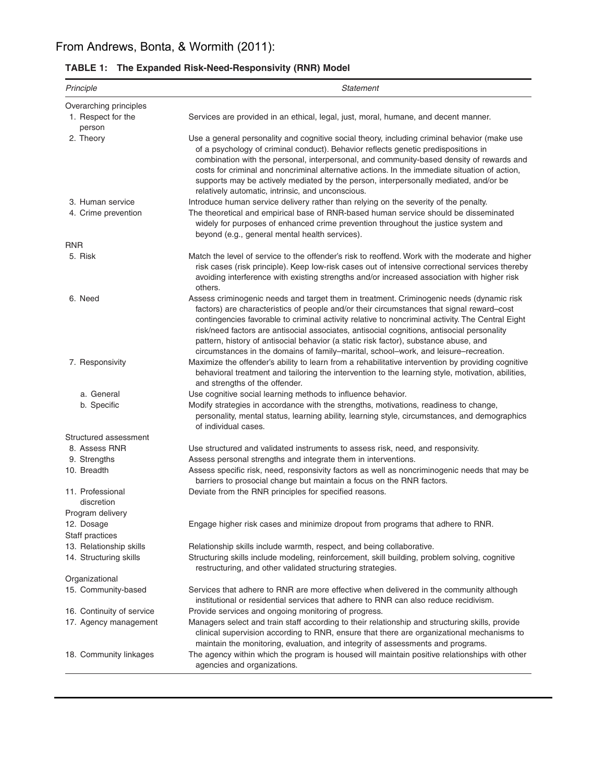| Principle                                          | Statement                                                                                                                                                                                                                                                                                                                                                                                                                                                                                                                                                               |  |  |
|----------------------------------------------------|-------------------------------------------------------------------------------------------------------------------------------------------------------------------------------------------------------------------------------------------------------------------------------------------------------------------------------------------------------------------------------------------------------------------------------------------------------------------------------------------------------------------------------------------------------------------------|--|--|
| Overarching principles                             |                                                                                                                                                                                                                                                                                                                                                                                                                                                                                                                                                                         |  |  |
| 1. Respect for the<br>person                       | Services are provided in an ethical, legal, just, moral, humane, and decent manner.                                                                                                                                                                                                                                                                                                                                                                                                                                                                                     |  |  |
| 2. Theory                                          | Use a general personality and cognitive social theory, including criminal behavior (make use<br>of a psychology of criminal conduct). Behavior reflects genetic predispositions in<br>combination with the personal, interpersonal, and community-based density of rewards and<br>costs for criminal and noncriminal alternative actions. In the immediate situation of action,<br>supports may be actively mediated by the person, interpersonally mediated, and/or be<br>relatively automatic, intrinsic, and unconscious.                                            |  |  |
| 3. Human service                                   | Introduce human service delivery rather than relying on the severity of the penalty.                                                                                                                                                                                                                                                                                                                                                                                                                                                                                    |  |  |
| 4. Crime prevention                                | The theoretical and empirical base of RNR-based human service should be disseminated<br>widely for purposes of enhanced crime prevention throughout the justice system and<br>beyond (e.g., general mental health services).                                                                                                                                                                                                                                                                                                                                            |  |  |
| <b>RNR</b>                                         |                                                                                                                                                                                                                                                                                                                                                                                                                                                                                                                                                                         |  |  |
| 5. Risk                                            | Match the level of service to the offender's risk to reoffend. Work with the moderate and higher<br>risk cases (risk principle). Keep low-risk cases out of intensive correctional services thereby<br>avoiding interference with existing strengths and/or increased association with higher risk<br>others.                                                                                                                                                                                                                                                           |  |  |
| 6. Need                                            | Assess criminogenic needs and target them in treatment. Criminogenic needs (dynamic risk<br>factors) are characteristics of people and/or their circumstances that signal reward-cost<br>contingencies favorable to criminal activity relative to noncriminal activity. The Central Eight<br>risk/need factors are antisocial associates, antisocial cognitions, antisocial personality<br>pattern, history of antisocial behavior (a static risk factor), substance abuse, and<br>circumstances in the domains of family-marital, school-work, and leisure-recreation. |  |  |
| 7. Responsivity                                    | Maximize the offender's ability to learn from a rehabilitative intervention by providing cognitive<br>behavioral treatment and tailoring the intervention to the learning style, motivation, abilities,<br>and strengths of the offender.                                                                                                                                                                                                                                                                                                                               |  |  |
| a. General                                         | Use cognitive social learning methods to influence behavior.                                                                                                                                                                                                                                                                                                                                                                                                                                                                                                            |  |  |
| b. Specific                                        | Modify strategies in accordance with the strengths, motivations, readiness to change,<br>personality, mental status, learning ability, learning style, circumstances, and demographics<br>of individual cases.                                                                                                                                                                                                                                                                                                                                                          |  |  |
| Structured assessment                              |                                                                                                                                                                                                                                                                                                                                                                                                                                                                                                                                                                         |  |  |
| 8. Assess RNR                                      | Use structured and validated instruments to assess risk, need, and responsivity.                                                                                                                                                                                                                                                                                                                                                                                                                                                                                        |  |  |
| 9. Strengths<br>10. Breadth                        | Assess personal strengths and integrate them in interventions.<br>Assess specific risk, need, responsivity factors as well as noncriminogenic needs that may be<br>barriers to prosocial change but maintain a focus on the RNR factors.                                                                                                                                                                                                                                                                                                                                |  |  |
| 11. Professional<br>discretion<br>Program delivery | Deviate from the RNR principles for specified reasons.                                                                                                                                                                                                                                                                                                                                                                                                                                                                                                                  |  |  |
| 12. Dosage<br>Staff practices                      | Engage higher risk cases and minimize dropout from programs that adhere to RNR.                                                                                                                                                                                                                                                                                                                                                                                                                                                                                         |  |  |
| 13. Relationship skills                            | Relationship skills include warmth, respect, and being collaborative.                                                                                                                                                                                                                                                                                                                                                                                                                                                                                                   |  |  |
| 14. Structuring skills                             | Structuring skills include modeling, reinforcement, skill building, problem solving, cognitive<br>restructuring, and other validated structuring strategies.                                                                                                                                                                                                                                                                                                                                                                                                            |  |  |
| Organizational                                     |                                                                                                                                                                                                                                                                                                                                                                                                                                                                                                                                                                         |  |  |
| 15. Community-based                                | Services that adhere to RNR are more effective when delivered in the community although<br>institutional or residential services that adhere to RNR can also reduce recidivism.                                                                                                                                                                                                                                                                                                                                                                                         |  |  |
| 16. Continuity of service<br>17. Agency management | Provide services and ongoing monitoring of progress.<br>Managers select and train staff according to their relationship and structuring skills, provide<br>clinical supervision according to RNR, ensure that there are organizational mechanisms to<br>maintain the monitoring, evaluation, and integrity of assessments and programs.                                                                                                                                                                                                                                 |  |  |
| 18. Community linkages                             | The agency within which the program is housed will maintain positive relationships with other<br>agencies and organizations.                                                                                                                                                                                                                                                                                                                                                                                                                                            |  |  |

| TABLE 1: The Expanded Risk-Need-Responsivity (RNR) Model |  |  |
|----------------------------------------------------------|--|--|
|                                                          |  |  |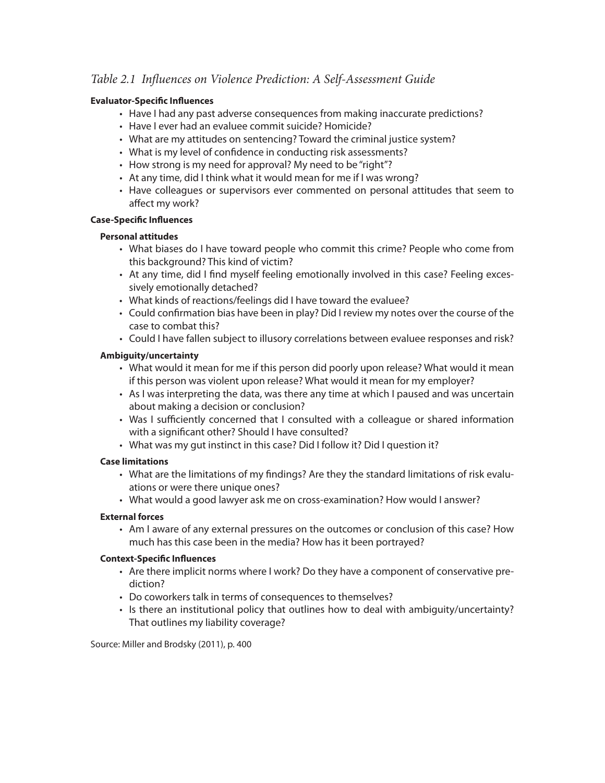### *Table 2.1 In*f*uences on Violence Prediction: A Self-Assessment Guide*

#### **Evaluator-Specifc Infuences**

- Have I had any past adverse consequences from making inaccurate predictions?
- Have I ever had an evaluee commit suicide? Homicide?
- What are my attitudes on sentencing? Toward the criminal justice system?
- What is my level of confdence in conducting risk assessments?
- How strong is my need for approval? My need to be "right"?
- At any time, did I think what it would mean for me if I was wrong?
- Have colleagues or supervisors ever commented on personal attitudes that seem to afect my work?

#### **Case-Specifc Infuences**

#### **Personal attitudes**

- What biases do I have toward people who commit this crime? People who come from this background? This kind of victim?
- At any time, did I fnd myself feeling emotionally involved in this case? Feeling excessively emotionally detached?
- What kinds of reactions/feelings did I have toward the evaluee?
- Could confrmation bias have been in play? Did I review my notes over the course of the case to combat this?
- Could I have fallen subject to illusory correlations between evaluee responses and risk?

#### **Ambiguity/uncertainty**

- What would it mean for me if this person did poorly upon release? What would it mean if this person was violent upon release? What would it mean for my employer?
- As I was interpreting the data, was there any time at which I paused and was uncertain about making a decision or conclusion?
- Was I sufficiently concerned that I consulted with a colleague or shared information with a signifcant other? Should I have consulted?
- What was my gut instinct in this case? Did I follow it? Did I question it?

#### **Case limitations**

- What are the limitations of my fndings? Are they the standard limitations of risk evaluations or were there unique ones?
- What would a good lawyer ask me on cross-examination? How would I answer?

#### **External forces**

• Am I aware of any external pressures on the outcomes or conclusion of this case? How much has this case been in the media? How has it been portrayed?

#### **Context-Specifc Infuences**

- Are there implicit norms where I work? Do they have a component of conservative prediction?
- Do coworkers talk in terms of consequences to themselves?
- Is there an institutional policy that outlines how to deal with ambiguity/uncertainty? That outlines my liability coverage?

Source: Miller and Brodsky (2011), p. 400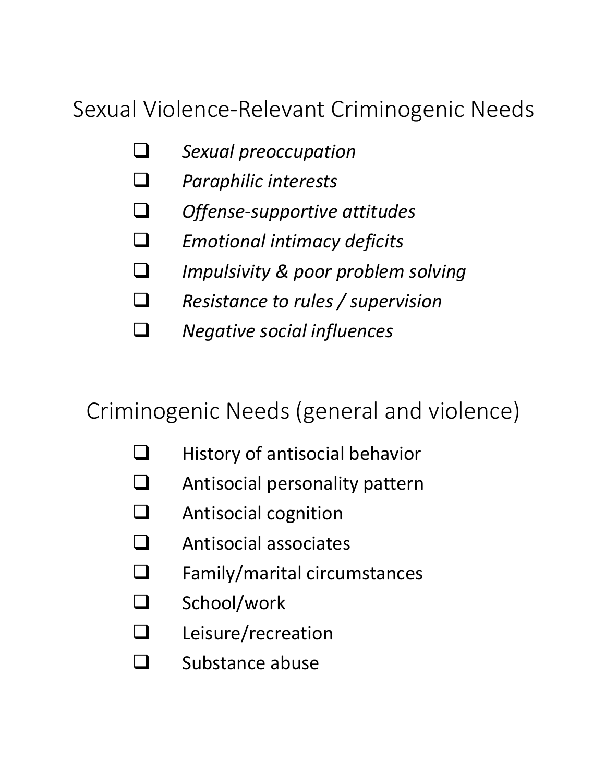# Sexual Violence-Relevant Criminogenic Needs

- **Q** Sexual preoccupation
- **Q** *Paraphilic interests*
- **Q** Offense-supportive attitudes
- $\Box$  *Emotional intimacy deficits*
- q *Impulsivity & poor problem solving*
- q *Resistance to rules / supervision*
- q *Negative social influences*

## Criminogenic Needs (general and violence)

- $\Box$  History of antisocial behavior
- $\Box$  Antisocial personality pattern
- $\Box$  Antisocial cognition
- $\Box$  Antisocial associates
- $\Box$  Family/marital circumstances
- $\Box$  School/work
- $\Box$  Leisure/recreation
- $\Box$  Substance abuse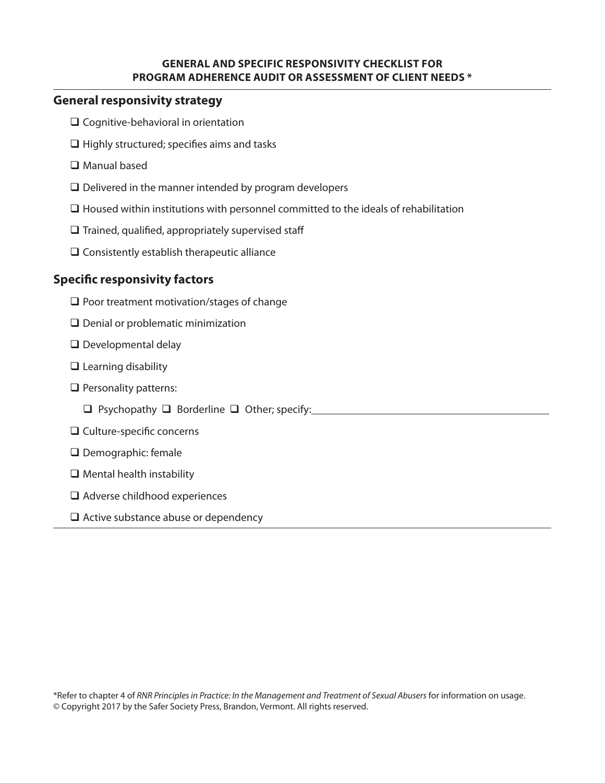#### **GENERAL AND SPECIFIC RESPONSIVITY CHECKLIST FOR PROGRAM ADHERENCE AUDIT OR ASSESSMENT OF CLIENT NEEDS \***

#### **General responsivity strategy**

- □ Cognitive-behavioral in orientation
- $\Box$  Highly structured; specifies aims and tasks
- □ Manual based
- $\Box$  Delivered in the manner intended by program developers
- $\Box$  Housed within institutions with personnel committed to the ideals of rehabilitation
- $\square$  Trained, qualified, appropriately supervised staff
- $\square$  Consistently establish therapeutic alliance

## **Specifc responsivity factors**

- $\square$  Poor treatment motivation/stages of change
- $\Box$  Denial or problematic minimization
- $\square$  Developmental delay
- $\Box$  Learning disability
- $\Box$  Personality patterns:
	- $\Box$  Psychopathy  $\Box$  Borderline  $\Box$  Other; specify:
- □ Culture-specific concerns
- Demographic: female
- $\Box$  Mental health instability
- □ Adverse childhood experiences
- $\Box$  Active substance abuse or dependency